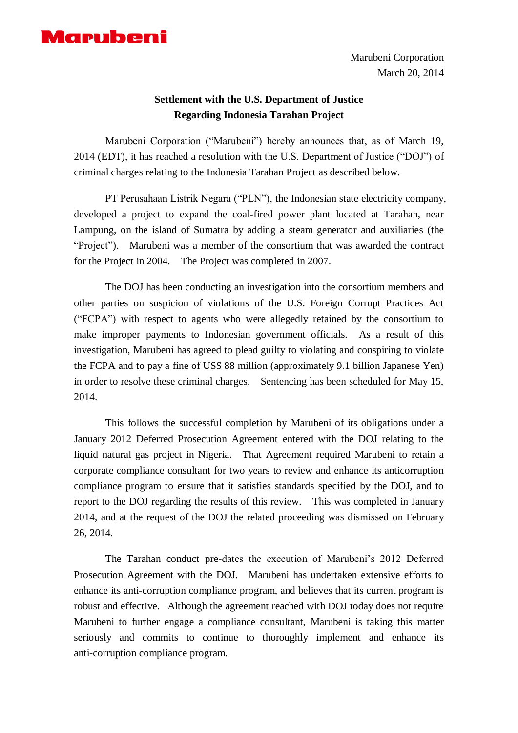

Marubeni Corporation March 20, 2014

## **Settlement with the U.S. Department of Justice Regarding Indonesia Tarahan Project**

Marubeni Corporation ("Marubeni") hereby announces that, as of March 19, 2014 (EDT), it has reached a resolution with the U.S. Department of Justice ("DOJ") of criminal charges relating to the Indonesia Tarahan Project as described below.

PT Perusahaan Listrik Negara ("PLN"), the Indonesian state electricity company, developed a project to expand the coal-fired power plant located at Tarahan, near Lampung, on the island of Sumatra by adding a steam generator and auxiliaries (the "Project"). Marubeni was a member of the consortium that was awarded the contract for the Project in 2004. The Project was completed in 2007.

The DOJ has been conducting an investigation into the consortium members and other parties on suspicion of violations of the U.S. Foreign Corrupt Practices Act ("FCPA") with respect to agents who were allegedly retained by the consortium to make improper payments to Indonesian government officials. As a result of this investigation, Marubeni has agreed to plead guilty to violating and conspiring to violate the FCPA and to pay a fine of US\$ 88 million (approximately 9.1 billion Japanese Yen) in order to resolve these criminal charges. Sentencing has been scheduled for May 15, 2014.

This follows the successful completion by Marubeni of its obligations under a January 2012 Deferred Prosecution Agreement entered with the DOJ relating to the liquid natural gas project in Nigeria. That Agreement required Marubeni to retain a corporate compliance consultant for two years to review and enhance its anticorruption compliance program to ensure that it satisfies standards specified by the DOJ, and to report to the DOJ regarding the results of this review. This was completed in January 2014, and at the request of the DOJ the related proceeding was dismissed on February 26, 2014.

The Tarahan conduct pre-dates the execution of Marubeni's 2012 Deferred Prosecution Agreement with the DOJ. Marubeni has undertaken extensive efforts to enhance its anti-corruption compliance program, and believes that its current program is robust and effective. Although the agreement reached with DOJ today does not require Marubeni to further engage a compliance consultant, Marubeni is taking this matter seriously and commits to continue to thoroughly implement and enhance its anti-corruption compliance program.